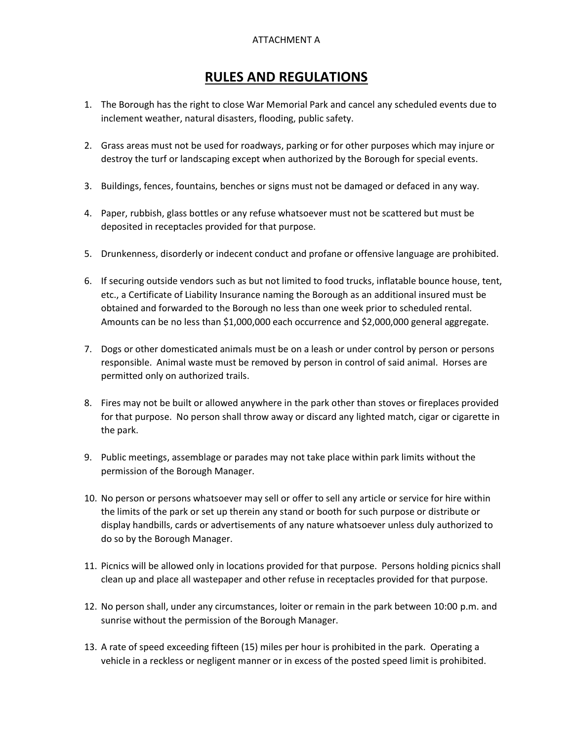## ATTACHMENT A

## **RULES AND REGULATIONS**

- 1. The Borough has the right to close War Memorial Park and cancel any scheduled events due to inclement weather, natural disasters, flooding, public safety.
- 2. Grass areas must not be used for roadways, parking or for other purposes which may injure or destroy the turf or landscaping except when authorized by the Borough for special events.
- 3. Buildings, fences, fountains, benches or signs must not be damaged or defaced in any way.
- 4. Paper, rubbish, glass bottles or any refuse whatsoever must not be scattered but must be deposited in receptacles provided for that purpose.
- 5. Drunkenness, disorderly or indecent conduct and profane or offensive language are prohibited.
- 6. If securing outside vendors such as but not limited to food trucks, inflatable bounce house, tent, etc., a Certificate of Liability Insurance naming the Borough as an additional insured must be obtained and forwarded to the Borough no less than one week prior to scheduled rental. Amounts can be no less than \$1,000,000 each occurrence and \$2,000,000 general aggregate.
- 7. Dogs or other domesticated animals must be on a leash or under control by person or persons responsible. Animal waste must be removed by person in control of said animal. Horses are permitted only on authorized trails.
- 8. Fires may not be built or allowed anywhere in the park other than stoves or fireplaces provided for that purpose. No person shall throw away or discard any lighted match, cigar or cigarette in the park.
- 9. Public meetings, assemblage or parades may not take place within park limits without the permission of the Borough Manager.
- 10. No person or persons whatsoever may sell or offer to sell any article or service for hire within the limits of the park or set up therein any stand or booth for such purpose or distribute or display handbills, cards or advertisements of any nature whatsoever unless duly authorized to do so by the Borough Manager.
- 11. Picnics will be allowed only in locations provided for that purpose. Persons holding picnics shall clean up and place all wastepaper and other refuse in receptacles provided for that purpose.
- 12. No person shall, under any circumstances, loiter or remain in the park between 10:00 p.m. and sunrise without the permission of the Borough Manager.
- 13. A rate of speed exceeding fifteen (15) miles per hour is prohibited in the park. Operating a vehicle in a reckless or negligent manner or in excess of the posted speed limit is prohibited.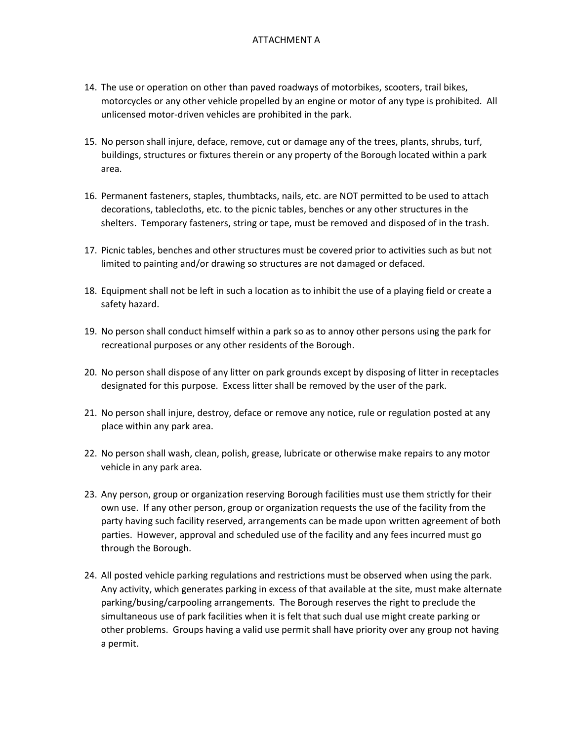- 14. The use or operation on other than paved roadways of motorbikes, scooters, trail bikes, motorcycles or any other vehicle propelled by an engine or motor of any type is prohibited. All unlicensed motor-driven vehicles are prohibited in the park.
- 15. No person shall injure, deface, remove, cut or damage any of the trees, plants, shrubs, turf, buildings, structures or fixtures therein or any property of the Borough located within a park area.
- 16. Permanent fasteners, staples, thumbtacks, nails, etc. are NOT permitted to be used to attach decorations, tablecloths, etc. to the picnic tables, benches or any other structures in the shelters. Temporary fasteners, string or tape, must be removed and disposed of in the trash.
- 17. Picnic tables, benches and other structures must be covered prior to activities such as but not limited to painting and/or drawing so structures are not damaged or defaced.
- 18. Equipment shall not be left in such a location as to inhibit the use of a playing field or create a safety hazard.
- 19. No person shall conduct himself within a park so as to annoy other persons using the park for recreational purposes or any other residents of the Borough.
- 20. No person shall dispose of any litter on park grounds except by disposing of litter in receptacles designated for this purpose. Excess litter shall be removed by the user of the park.
- 21. No person shall injure, destroy, deface or remove any notice, rule or regulation posted at any place within any park area.
- 22. No person shall wash, clean, polish, grease, lubricate or otherwise make repairs to any motor vehicle in any park area.
- 23. Any person, group or organization reserving Borough facilities must use them strictly for their own use. If any other person, group or organization requests the use of the facility from the party having such facility reserved, arrangements can be made upon written agreement of both parties. However, approval and scheduled use of the facility and any fees incurred must go through the Borough.
- 24. All posted vehicle parking regulations and restrictions must be observed when using the park. Any activity, which generates parking in excess of that available at the site, must make alternate parking/busing/carpooling arrangements. The Borough reserves the right to preclude the simultaneous use of park facilities when it is felt that such dual use might create parking or other problems. Groups having a valid use permit shall have priority over any group not having a permit.